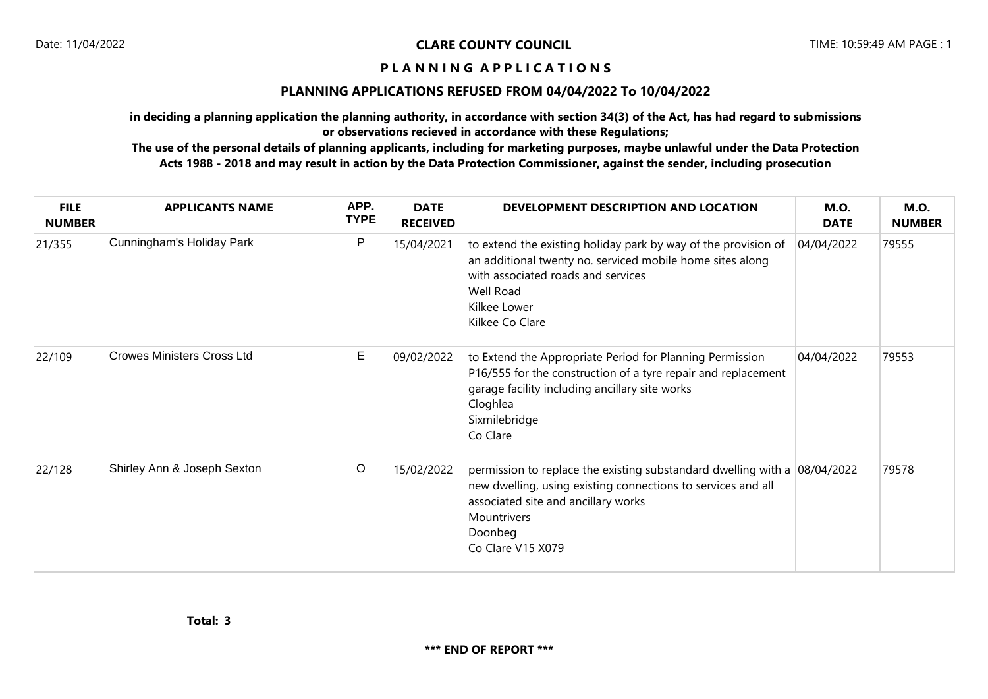## **P L A N N I N G A P P L I C A T I O N S**

## **PLANNING APPLICATIONS REFUSED FROM 04/04/2022 To 10/04/2022**

**in deciding a planning application the planning authority, in accordance with section 34(3) of the Act, has had regard to submissions or observations recieved in accordance with these Regulations;**

**The use of the personal details of planning applicants, including for marketing purposes, maybe unlawful under the Data Protection Acts 1988 - 2018 and may result in action by the Data Protection Commissioner, against the sender, including prosecution**

| <b>FILE</b><br><b>NUMBER</b> | <b>APPLICANTS NAME</b>            | APP.<br><b>TYPE</b> | <b>DATE</b><br><b>RECEIVED</b> | DEVELOPMENT DESCRIPTION AND LOCATION                                                                                                                                                                                              | <b>M.O.</b><br><b>DATE</b> | <b>M.O.</b><br><b>NUMBER</b> |
|------------------------------|-----------------------------------|---------------------|--------------------------------|-----------------------------------------------------------------------------------------------------------------------------------------------------------------------------------------------------------------------------------|----------------------------|------------------------------|
| 21/355                       | Cunningham's Holiday Park         | P                   | 15/04/2021                     | to extend the existing holiday park by way of the provision of<br>an additional twenty no. serviced mobile home sites along<br>with associated roads and services<br>Well Road<br>Kilkee Lower<br>Kilkee Co Clare                 | 04/04/2022                 | 79555                        |
| 22/109                       | <b>Crowes Ministers Cross Ltd</b> | Е                   | 09/02/2022                     | to Extend the Appropriate Period for Planning Permission<br>P16/555 for the construction of a tyre repair and replacement<br>garage facility including ancillary site works<br>Cloghlea<br>Sixmilebridge<br>Co Clare              | 04/04/2022                 | 79553                        |
| 22/128                       | Shirley Ann & Joseph Sexton       | $\circ$             | 15/02/2022                     | permission to replace the existing substandard dwelling with a $08/04/2022$<br>new dwelling, using existing connections to services and all<br>associated site and ancillary works<br>Mountrivers<br>Doonbeg<br>Co Clare V15 X079 |                            | 79578                        |